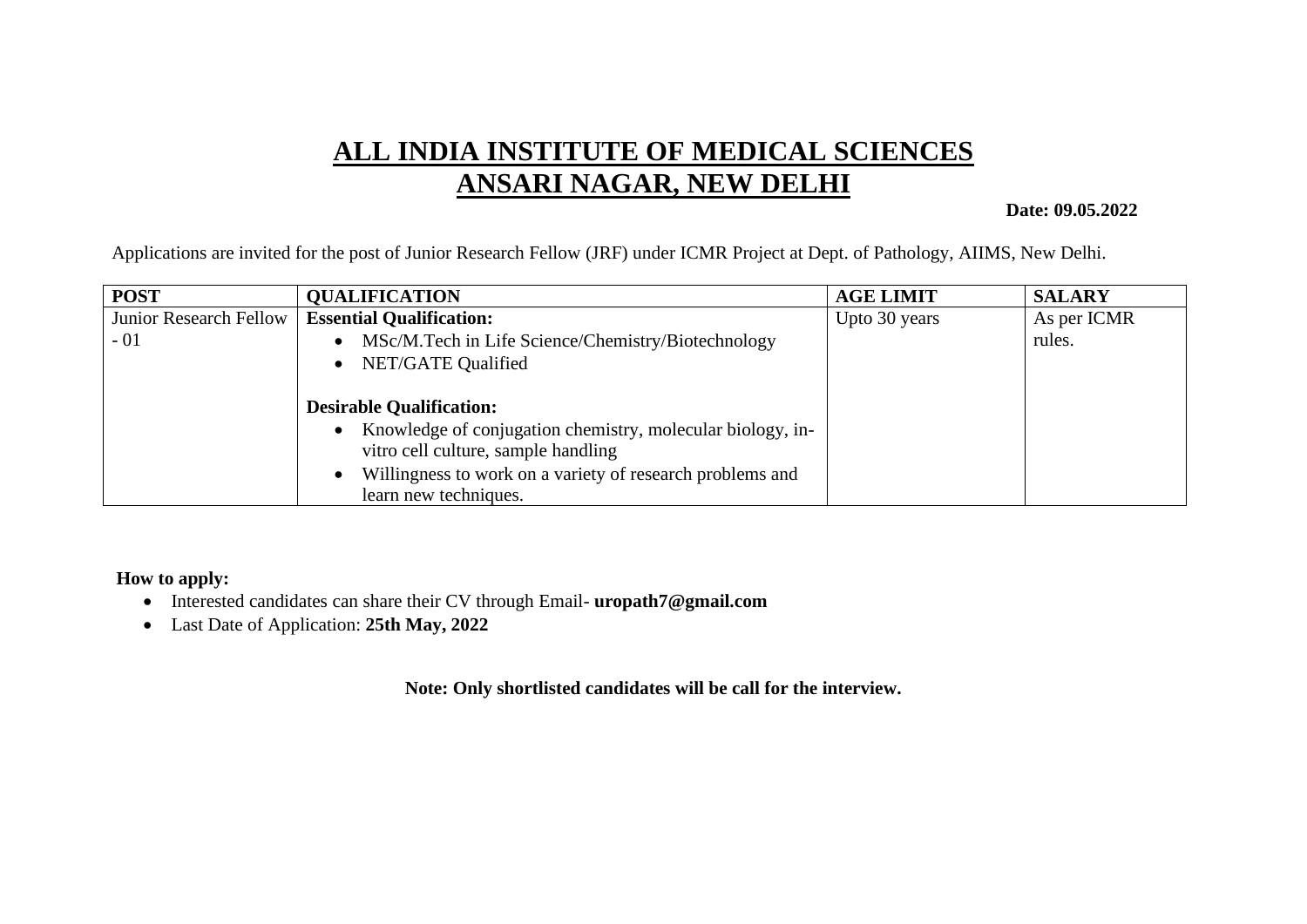## **ALL INDIA INSTITUTE OF MEDICAL SCIENCES ANSARI NAGAR, NEW DELHI**

**Date: 09.05.2022**

Applications are invited for the post of Junior Research Fellow (JRF) under ICMR Project at Dept. of Pathology, AIIMS, New Delhi.

| <b>POST</b>                   | <b>QUALIFICATION</b>                                         | <b>AGE LIMIT</b> | <b>SALARY</b> |
|-------------------------------|--------------------------------------------------------------|------------------|---------------|
| <b>Junior Research Fellow</b> | <b>Essential Qualification:</b>                              | Upto 30 years    | As per ICMR   |
| $-01$                         | • MSc/M.Tech in Life Science/Chemistry/Biotechnology         |                  | rules.        |
|                               | NET/GATE Qualified                                           |                  |               |
|                               |                                                              |                  |               |
|                               | <b>Desirable Qualification:</b>                              |                  |               |
|                               | • Knowledge of conjugation chemistry, molecular biology, in- |                  |               |
|                               | vitro cell culture, sample handling                          |                  |               |
|                               | Willingness to work on a variety of research problems and    |                  |               |
|                               | learn new techniques.                                        |                  |               |

## **How to apply:**

- Interested candidates can share their CV through Email- **uropath7@gmail.com**
- Last Date of Application: **25th May, 2022**

**Note: Only shortlisted candidates will be call for the interview.**